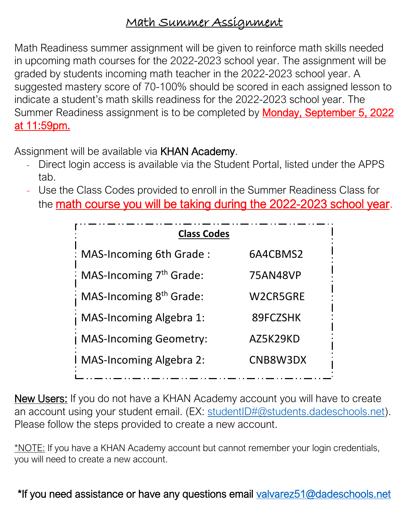## Math Summer Assignment

Math Readiness summer assignment will be given to reinforce math skills needed in upcoming math courses for the 2022-2023 school year. The assignment will be graded by students incoming math teacher in the 2022-2023 school year. A suggested mastery score of 70-100% should be scored in each assigned lesson to indicate a student's math skills readiness for the 2022-2023 school year. The Summer Readiness assignment is to be completed by **Monday, September 5, 2022** at 11:59pm.

Assignment will be available via KHAN Academy.

- Direct login access is available via the Student Portal, listed under the APPS tab.
- Use the Class Codes provided to enroll in the Summer Readiness Class for the **math course you will be taking during the 2022-2023 school year**.

| <b>Class Codes</b>             |          |
|--------------------------------|----------|
| : MAS-Incoming 6th Grade:      | 6A4CBMS2 |
| : MAS-Incoming $7th$ Grade:    | 75AN48VP |
| ; MAS-Incoming $8th$ Grade:    | W2CR5GRE |
| <b>MAS-Incoming Algebra 1:</b> | 89FCZSHK |
| <b>MAS-Incoming Geometry:</b>  | AZ5K29KD |
| I MAS-Incoming Algebra 2:      | CNB8W3DX |

New Users: If you do not have a KHAN Academy account you will have to create an account using your student email. (EX: [studentID#@students.dadeschools.net\)](mailto:studentID#@students.dadeschools.net). Please follow the steps provided to create a new account.

\*NOTE: If you have a KHAN Academy account but cannot remember your login credentials, you will need to create a new account.

\*If you need assistance or have any questions email valvarez51@dadeschools.net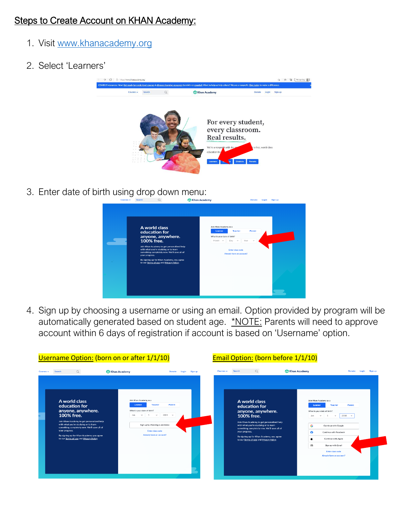## Steps to Create Account on KHAN Academy:

- 1. Visit [www.khanacademy.org](http://www.khanacademy.org/)
- 2. Select 'Learners'



3. Enter date of birth using drop down menu:

| A world class<br>education for<br>anyone, anywhere.<br>100% free.<br>Join Khan Academy to get personalized help<br>with what you're studying or to learn<br>something completely new. We'll save all of<br>your progress.<br>By signing up for Khan Academy, you agree<br>to our Terms of use and Privacy Policy. | Join Khan Academy as a<br>Learner<br>What is your date of birth?<br>Month v<br>Day | Teacher<br>Parent<br>Year<br>$\sim$<br><b>Enter class code</b><br>Already have an account? |  |
|-------------------------------------------------------------------------------------------------------------------------------------------------------------------------------------------------------------------------------------------------------------------------------------------------------------------|------------------------------------------------------------------------------------|--------------------------------------------------------------------------------------------|--|
|                                                                                                                                                                                                                                                                                                                   |                                                                                    |                                                                                            |  |

4. Sign up by choosing a username or using an email. Option provided by program will be automatically generated based on student age. \*NOTE: Parents will need to approve account within 6 days of registration if account is based on 'Username' option.

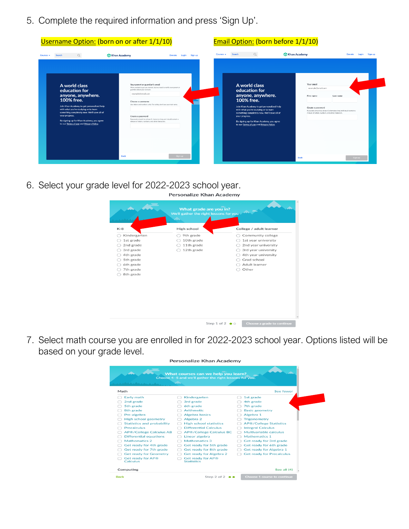5. Complete the required information and press 'Sign Up'.

| A world class<br>education for<br>anyone, anywhere.<br>100% free.<br>Join Khan Academy to get personalized help<br>with what you're studying or to learn<br>something completely new. We'll save all of<br>your progress.<br>By signing up for Khan Academy, you agree<br>to our Terms of use and Privacy Policy. | Your parent or guardian's email<br>We're excited to get you started, but we need to notify your parent or<br>suardian about your account.<br>example@email.com<br>Choose a username<br>Use letters and numbers only. For safety, don't use your real name.<br>Create a password<br>Passwords should be at least 8 characters long and should contain a<br>mixture of letters, numbers, and other characters. | A world class<br>education for<br>anyone, anywhere.<br>100% free.<br>Join Khan Academy to get personalized help<br>with what you're studying or to learn<br>something completely new. We'll save all of<br>your progress.<br>By signing up for Khan Academy, you agree<br>to our Terms of use and Privacy Policy. | Your email<br>example@email.com<br>First name<br>Create a password | Last name<br>Passwords should be at least 8 characters long and should contain a<br>mixture of letters, numbers, and other characters. |
|-------------------------------------------------------------------------------------------------------------------------------------------------------------------------------------------------------------------------------------------------------------------------------------------------------------------|--------------------------------------------------------------------------------------------------------------------------------------------------------------------------------------------------------------------------------------------------------------------------------------------------------------------------------------------------------------------------------------------------------------|-------------------------------------------------------------------------------------------------------------------------------------------------------------------------------------------------------------------------------------------------------------------------------------------------------------------|--------------------------------------------------------------------|----------------------------------------------------------------------------------------------------------------------------------------|
|-------------------------------------------------------------------------------------------------------------------------------------------------------------------------------------------------------------------------------------------------------------------------------------------------------------------|--------------------------------------------------------------------------------------------------------------------------------------------------------------------------------------------------------------------------------------------------------------------------------------------------------------------------------------------------------------------------------------------------------------|-------------------------------------------------------------------------------------------------------------------------------------------------------------------------------------------------------------------------------------------------------------------------------------------------------------------|--------------------------------------------------------------------|----------------------------------------------------------------------------------------------------------------------------------------|

6. Select your grade level for 2022-2023 school year.



7. Select math course you are enrolled in for 2022-2023 school year. Options listed will be based on your grade level.

| Personalize Khan Academy<br>What courses can we help you learn?<br>Choose 4-5 and we'll gather the right lessons for you.<br><b>Contract</b><br>And Andrew State Lands and The Contract of |                                      |  |                                               |  |                                  |  |  |
|--------------------------------------------------------------------------------------------------------------------------------------------------------------------------------------------|--------------------------------------|--|-----------------------------------------------|--|----------------------------------|--|--|
|                                                                                                                                                                                            |                                      |  |                                               |  |                                  |  |  |
|                                                                                                                                                                                            | Early math                           |  | Kindergarten                                  |  | 1st grade                        |  |  |
|                                                                                                                                                                                            | 2nd grade                            |  | 3rd grade                                     |  | 4th grade                        |  |  |
|                                                                                                                                                                                            | 5th grade                            |  | 6th grade                                     |  | 7th grade                        |  |  |
|                                                                                                                                                                                            | 8th grade                            |  | <b>Arithmetic</b>                             |  | <b>Basic geometry</b>            |  |  |
|                                                                                                                                                                                            | Pre-algebra                          |  | <b>Algebra basics</b>                         |  | Algebra 1                        |  |  |
|                                                                                                                                                                                            | <b>High school geometry</b>          |  | Algebra 2                                     |  | <b>Trigonometry</b>              |  |  |
|                                                                                                                                                                                            | <b>Statistics and probability</b>    |  | <b>High school statistics</b>                 |  | <b>AP®/College Statistics</b>    |  |  |
|                                                                                                                                                                                            | Precalculus                          |  | <b>Differential Calculus</b>                  |  | <b>Integral Calculus</b>         |  |  |
|                                                                                                                                                                                            | <b>AP®/College Calculus AB</b>       |  | <b>AP®/College Calculus BC</b>                |  | Multivariable calculus           |  |  |
|                                                                                                                                                                                            | <b>Differential equations</b>        |  | Linear algebra                                |  | Mathematics 1                    |  |  |
|                                                                                                                                                                                            | Mathematics 2                        |  | Mathematics 3                                 |  | Get ready for 3rd grade          |  |  |
|                                                                                                                                                                                            | Get ready for 4th grade              |  | Get ready for 5th grade                       |  | Get ready for 6th grade          |  |  |
|                                                                                                                                                                                            | Get ready for 7th grade              |  | Get ready for 8th grade                       |  | Get ready for Algebra 1          |  |  |
|                                                                                                                                                                                            | <b>Get ready for Geometry</b>        |  | Get ready for Algebra 2                       |  | <b>Get ready for Precalculus</b> |  |  |
|                                                                                                                                                                                            | <b>Get ready for AP®</b><br>Calculus |  | <b>Get ready for AP®</b><br><b>Statistics</b> |  |                                  |  |  |
|                                                                                                                                                                                            | Computing                            |  |                                               |  | See all $(4)$                    |  |  |
| <b>Back</b>                                                                                                                                                                                |                                      |  | Step 2 of 2                                   |  | Choose 1 course to continue      |  |  |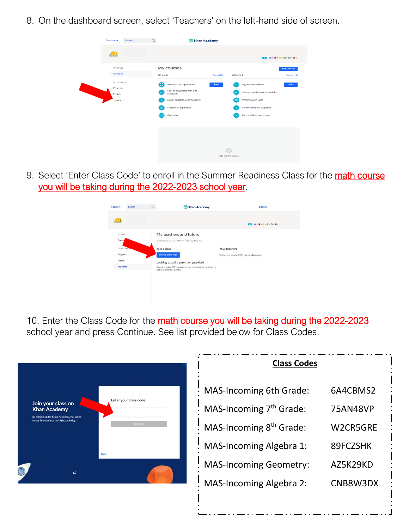8. On the dashboard screen, select 'Teachers' on the left-hand side of screen.

| Courses $\div$                                | Search | $\Omega$             | <b>Xhan Academy</b>                                                                                                                   |                    |              |                                                                                                                                                         |
|-----------------------------------------------|--------|----------------------|---------------------------------------------------------------------------------------------------------------------------------------|--------------------|--------------|---------------------------------------------------------------------------------------------------------------------------------------------------------|
| <b>Indi</b>                                   |        |                      |                                                                                                                                       |                    |              | 0 000000000000                                                                                                                                          |
| MY STUFF<br><b>Courses</b>                    |        | 8th grade            | My courses                                                                                                                            | See all (7)        | Algebra 1    | <b>Edit Courses</b><br>See all (15)                                                                                                                     |
| MY ACCOUNT<br>Progress<br>Profile<br>Teachers |        | Ð<br>Ze or<br>$\leq$ | Numbers and operations<br>Solving equations with one<br>unknown<br>Linear equations and functions<br>Systems of equations<br>Geometry | <b>Start</b>       | <b>House</b> | Algebra foundations<br><b>Start</b><br>Solving equations & inequalities<br>Working with units<br>Linear equations & graphs<br>Forms of linear equations |
|                                               |        |                      |                                                                                                                                       | Add another course |              |                                                                                                                                                         |

9. Select 'Enter Class Code' to enroll in the Summer Readiness Class for the math course you will be taking during the 2022-2023 school year.



10. Enter the Class Code for the math course you will be taking during the 2022-2023 school year and press Continue. See list provided below for Class Codes.



| <b>Class Codes</b>                  |          |
|-------------------------------------|----------|
| <b>MAS-Incoming 6th Grade:</b>      | 6A4CBMS2 |
| MAS-Incoming 7 <sup>th</sup> Grade: | 75AN48VP |
| MAS-Incoming 8 <sup>th</sup> Grade: | W2CR5GRE |
| <b>MAS-Incoming Algebra 1:</b>      | 89FCZSHK |
| <b>MAS-Incoming Geometry:</b>       | AZ5K29KD |
| <b>MAS-Incoming Algebra 2:</b>      | CNB8W3DX |